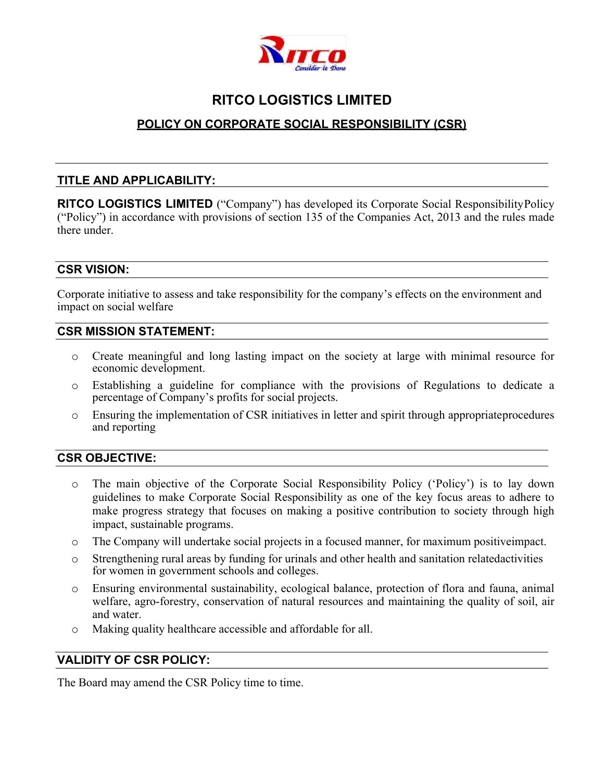

# **RITCO LOGISTICS LIMITED**

# **POLICY ON CORPORATE SOCIAL RESPONSIBILITY (CSR)**

## **TITLE AND APPLICABILITY:**

**RITCO LOGISTICS LIMITED** ("Company") has developed its Corporate Social ResponsibilityPolicy ("Policy") in accordance with provisions of section 135 of the Companies Act, 2013 and the rules made there under.

## **CSR VISION:**

Corporate initiative to assess and take responsibility for the company's effects on the environment and impact on social welfare

#### **CSR MISSION STATEMENT:**

- o Create meaningful and long lasting impact on the society at large with minimal resource for economic development.
- o Establishing a guideline for compliance with the provisions of Regulations to dedicate a percentage of Company's profits for social projects.
- o Ensuring the implementation of CSR initiatives in letter and spirit through appropriateprocedures and reporting

## **CSR OBJECTIVE:**

- o The main objective of the Corporate Social Responsibility Policy ('Policy') is to lay down guidelines to make Corporate Social Responsibility as one of the key focus areas to adhere to make progress strategy that focuses on making a positive contribution to society through high impact, sustainable programs.
- o The Company will undertake social projects in a focused manner, for maximum positiveimpact.
- o Strengthening rural areas by funding for urinals and other health and sanitation relatedactivities for women in government schools and colleges.
- o Ensuring environmental sustainability, ecological balance, protection of flora and fauna, animal welfare, agro-forestry, conservation of natural resources and maintaining the quality of soil, air and water.
- o Making quality healthcare accessible and affordable for all.

#### **VALIDITY OF CSR POLICY:**

The Board may amend the CSR Policy time to time.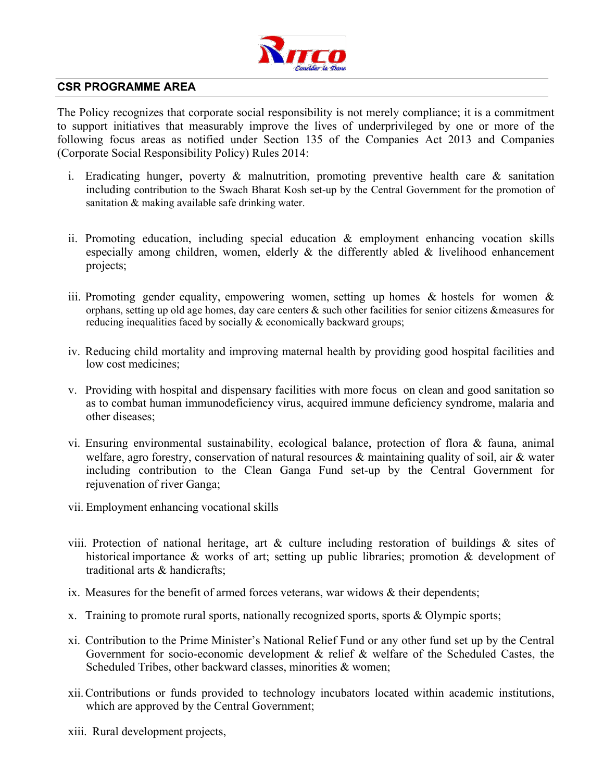

#### **CSR PROGRAMME AREA**

The Policy recognizes that corporate social responsibility is not merely compliance; it is a commitment to support initiatives that measurably improve the lives of underprivileged by one or more of the following focus areas as notified under Section 135 of the Companies Act 2013 and Companies (Corporate Social Responsibility Policy) Rules 2014:

- i. Eradicating hunger, poverty  $\&$  malnutrition, promoting preventive health care  $\&$  sanitation including contribution to the Swach Bharat Kosh set-up by the Central Government for the promotion of sanitation & making available safe drinking water.
- ii. Promoting education, including special education & employment enhancing vocation skills especially among children, women, elderly & the differently abled & livelihood enhancement projects;
- iii. Promoting gender equality, empowering women, setting up homes  $\&$  hostels for women  $\&$ orphans, setting up old age homes, day care centers & such other facilities for senior citizens &measures for reducing inequalities faced by socially & economically backward groups;
- iv. Reducing child mortality and improving maternal health by providing good hospital facilities and low cost medicines;
- v. Providing with hospital and dispensary facilities with more focus on clean and good sanitation so as to combat human immunodeficiency virus, acquired immune deficiency syndrome, malaria and other diseases;
- vi. Ensuring environmental sustainability, ecological balance, protection of flora & fauna, animal welfare, agro forestry, conservation of natural resources & maintaining quality of soil, air & water including contribution to the Clean Ganga Fund set-up by the Central Government for rejuvenation of river Ganga;
- vii. Employment enhancing vocational skills
- viii. Protection of national heritage, art & culture including restoration of buildings & sites of historical importance & works of art; setting up public libraries; promotion & development of traditional arts & handicrafts;
- ix. Measures for the benefit of armed forces veterans, war widows & their dependents;
- x. Training to promote rural sports, nationally recognized sports, sports & Olympic sports;
- xi. Contribution to the Prime Minister's National Relief Fund or any other fund set up by the Central Government for socio-economic development & relief & welfare of the Scheduled Castes, the Scheduled Tribes, other backward classes, minorities & women;
- xii.Contributions or funds provided to technology incubators located within academic institutions, which are approved by the Central Government;
- xiii. Rural development projects,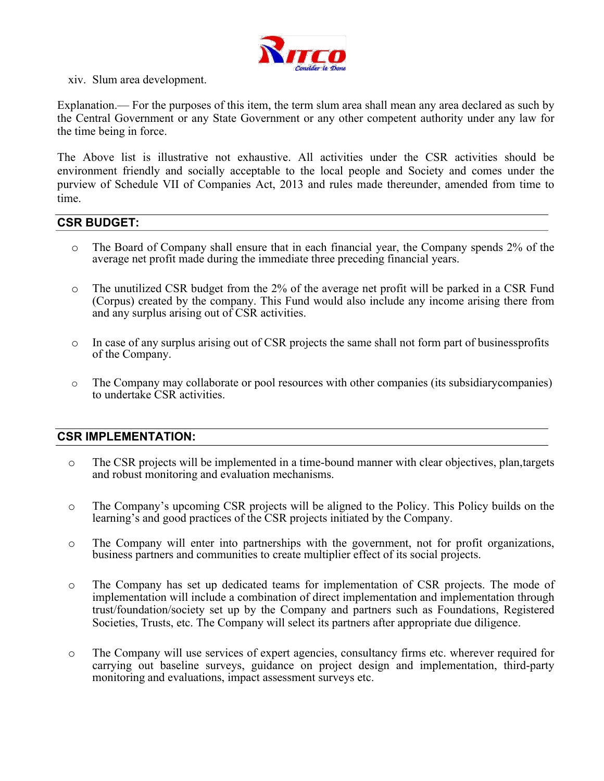

xiv. Slum area development.

Explanation.— For the purposes of this item, the term slum area shall mean any area declared as such by the Central Government or any State Government or any other competent authority under any law for the time being in force.

The Above list is illustrative not exhaustive. All activities under the CSR activities should be environment friendly and socially acceptable to the local people and Society and comes under the purview of Schedule VII of Companies Act, 2013 and rules made thereunder, amended from time to time.

## **CSR BUDGET:**

- o The Board of Company shall ensure that in each financial year, the Company spends 2% of the average net profit made during the immediate three preceding financial years.
- o The unutilized CSR budget from the 2% of the average net profit will be parked in a CSR Fund (Corpus) created by the company. This Fund would also include any income arising there from and any surplus arising out of CSR activities.
- o In case of any surplus arising out of CSR projects the same shall not form part of businessprofits of the Company.
- o The Company may collaborate or pool resources with other companies (its subsidiarycompanies) to undertake CSR activities.

#### **CSR IMPLEMENTATION:**

- o The CSR projects will be implemented in a time-bound manner with clear objectives, plan,targets and robust monitoring and evaluation mechanisms.
- o The Company's upcoming CSR projects will be aligned to the Policy. This Policy builds on the learning's and good practices of the CSR projects initiated by the Company.
- o The Company will enter into partnerships with the government, not for profit organizations, business partners and communities to create multiplier effect of its social projects.
- o The Company has set up dedicated teams for implementation of CSR projects. The mode of implementation will include a combination of direct implementation and implementation through trust/foundation/society set up by the Company and partners such as Foundations, Registered Societies, Trusts, etc. The Company will select its partners after appropriate due diligence.
- o The Company will use services of expert agencies, consultancy firms etc. wherever required for carrying out baseline surveys, guidance on project design and implementation, third-party monitoring and evaluations, impact assessment surveys etc.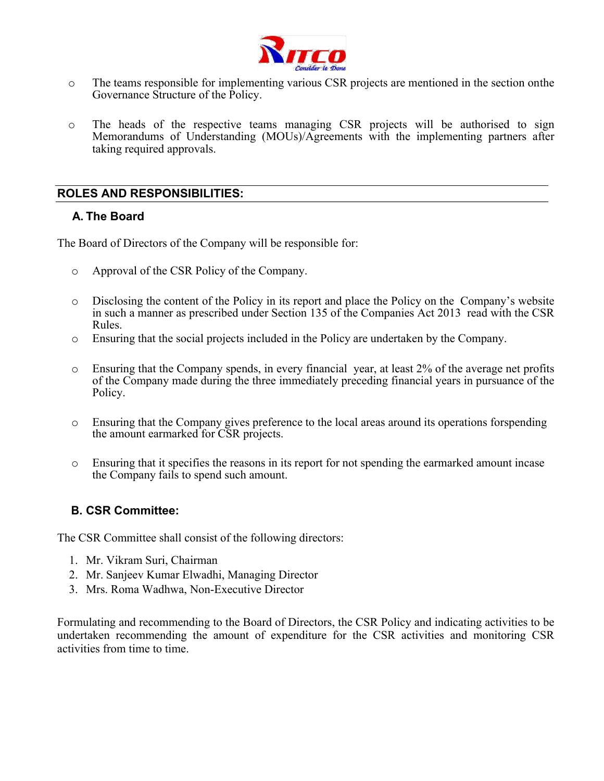

- o The teams responsible for implementing various CSR projects are mentioned in the section onthe Governance Structure of the Policy.
- o The heads of the respective teams managing CSR projects will be authorised to sign Memorandums of Understanding (MOUs)/Agreements with the implementing partners after taking required approvals.

## **ROLES AND RESPONSIBILITIES:**

## **A. The Board**

The Board of Directors of the Company will be responsible for:

- o Approval of the CSR Policy of the Company.
- o Disclosing the content of the Policy in its report and place the Policy on the Company's website in such a manner as prescribed under Section 135 of the Companies Act 2013 read with the CSR Rules.
- o Ensuring that the social projects included in the Policy are undertaken by the Company.
- o Ensuring that the Company spends, in every financial year, at least 2% of the average net profits of the Company made during the three immediately preceding financial years in pursuance of the Policy.
- o Ensuring that the Company gives preference to the local areas around its operations forspending the amount earmarked for CSR projects.
- o Ensuring that it specifies the reasons in its report for not spending the earmarked amount incase the Company fails to spend such amount.

## **B. CSR Committee:**

The CSR Committee shall consist of the following directors:

- 1. Mr. Vikram Suri, Chairman
- 2. Mr. Sanjeev Kumar Elwadhi, Managing Director
- 3. Mrs. Roma Wadhwa, Non-Executive Director

Formulating and recommending to the Board of Directors, the CSR Policy and indicating activities to be undertaken recommending the amount of expenditure for the CSR activities and monitoring CSR activities from time to time.